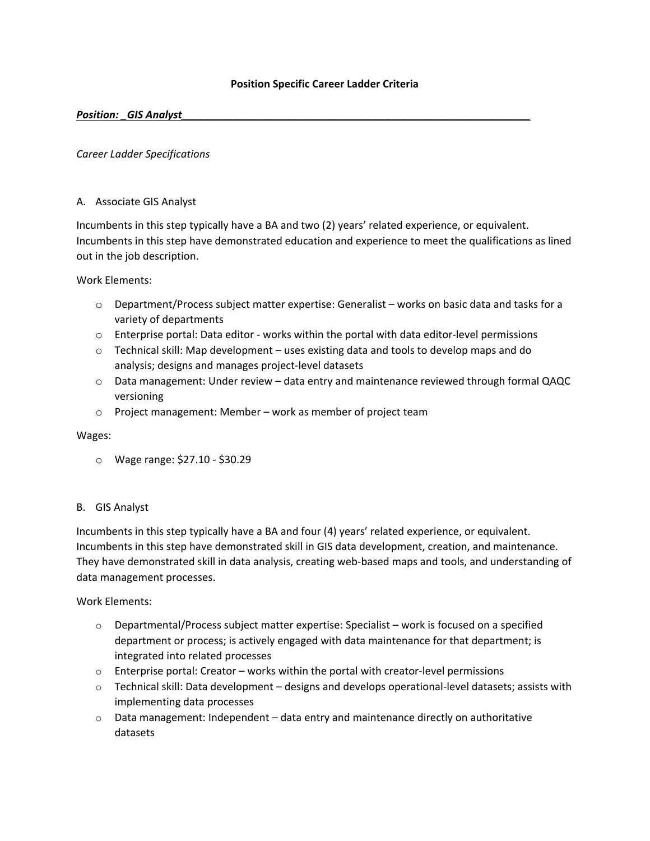### **Position Specific Career Ladder Criteria**

### *Position: \_GIS Analyst*

### *Career Ladder Specifications*

#### A. Associate GIS Analyst

Incumbents in this step typically have a BA and two (2) years' related experience, or equivalent. Incumbents in this step have demonstrated education and experience to meet the qualifications as lined out in the job description.

Work Elements:

- $\circ$  Department/Process subject matter expertise: Generalist works on basic data and tasks for a variety of departments
- o Enterprise portal: Data editor ‐ works within the portal with data editor‐level permissions
- $\circ$  Technical skill: Map development uses existing data and tools to develop maps and do analysis; designs and manages project‐level datasets
- o Data management: Under review data entry and maintenance reviewed through formal QAQC versioning
- o Project management: Member work as member of project team

#### Wages:

o Wage range: \$27.10 ‐ \$30.29

#### B. GIS Analyst

Incumbents in this step typically have a BA and four (4) years' related experience, or equivalent. Incumbents in this step have demonstrated skill in GIS data development, creation, and maintenance. They have demonstrated skill in data analysis, creating web‐based maps and tools, and understanding of data management processes.

Work Elements:

- $\circ$  Departmental/Process subject matter expertise: Specialist work is focused on a specified department or process; is actively engaged with data maintenance for that department; is integrated into related processes
- o Enterprise portal: Creator works within the portal with creator‐level permissions
- o Technical skill: Data development designs and develops operational‐level datasets; assists with implementing data processes
- $\circ$  Data management: Independent data entry and maintenance directly on authoritative datasets